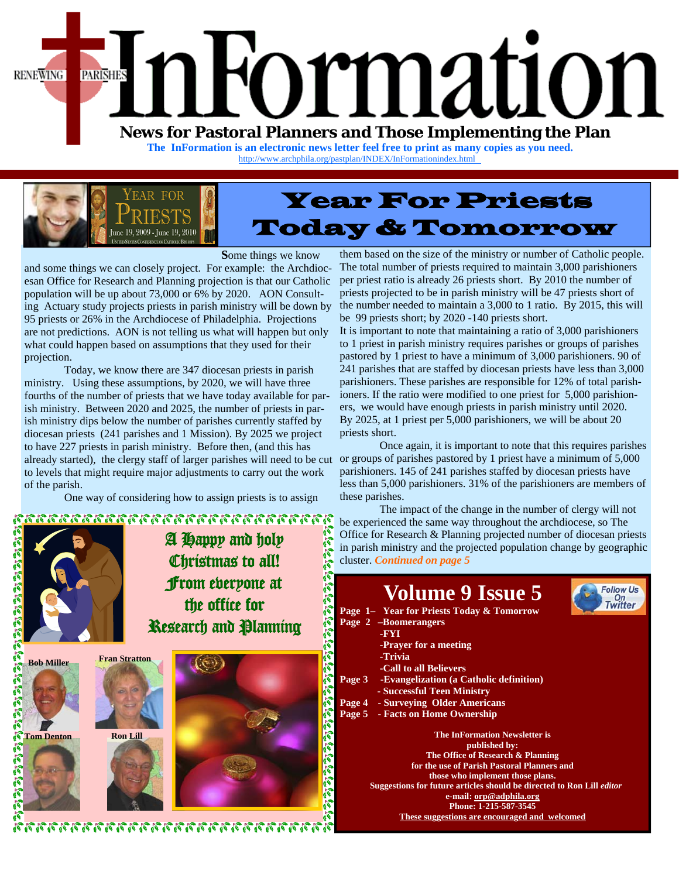

**The InFormation is an electronic news letter feel free to print as many copies as you need.**  [http://www.archphila.org/pastplan/](http://archphila.org/pastplan/INDEX/InFormationindex.html)INDEX/InFormationindex.html



# Year For Priests Today & Tomorrow

**S**ome things we know

and some things we can closely project. For example: the Archdiocesan Office for Research and Planning projection is that our Catholic population will be up about 73,000 or 6% by 2020. AON Consulting Actuary study projects priests in parish ministry will be down by 95 priests or 26% in the Archdiocese of Philadelphia. Projections are not predictions. AON is not telling us what will happen but only what could happen based on assumptions that they used for their projection.

 Today, we know there are 347 diocesan priests in parish ministry. Using these assumptions, by 2020, we will have three fourths of the number of priests that we have today available for parish ministry. Between 2020 and 2025, the number of priests in parish ministry dips below the number of parishes currently staffed by diocesan priests (241 parishes and 1 Mission). By 2025 we project to have 227 priests in parish ministry. Before then, (and this has already started), the clergy staff of larger parishes will need to be cut or groups of parishes pastored by 1 priest have a minimum of 5,000 to levels that might require major adjustments to carry out the work of the parish.

One way of considering how to assign priests is to assign



them based on the size of the ministry or number of Catholic people. The total number of priests required to maintain 3,000 parishioners per priest ratio is already 26 priests short. By 2010 the number of priests projected to be in parish ministry will be 47 priests short of the number needed to maintain a 3,000 to 1 ratio. By 2015, this will be 99 priests short; by 2020 -140 priests short.

It is important to note that maintaining a ratio of 3,000 parishioners to 1 priest in parish ministry requires parishes or groups of parishes pastored by 1 priest to have a minimum of 3,000 parishioners. 90 of 241 parishes that are staffed by diocesan priests have less than 3,000 parishioners. These parishes are responsible for 12% of total parishioners. If the ratio were modified to one priest for 5,000 parishioners, we would have enough priests in parish ministry until 2020. By 2025, at 1 priest per 5,000 parishioners, we will be about 20 priests short.

 Once again, it is important to note that this requires parishes parishioners. 145 of 241 parishes staffed by diocesan priests have less than 5,000 parishioners. 31% of the parishioners are members of these parishes.

 The impact of the change in the number of clergy will not be experienced the same way throughout the archdiocese, so The Office for Research & Planning projected number of diocesan priests in parish ministry and the projected population change by geographic

**Follow Us** 

On<br>Twitter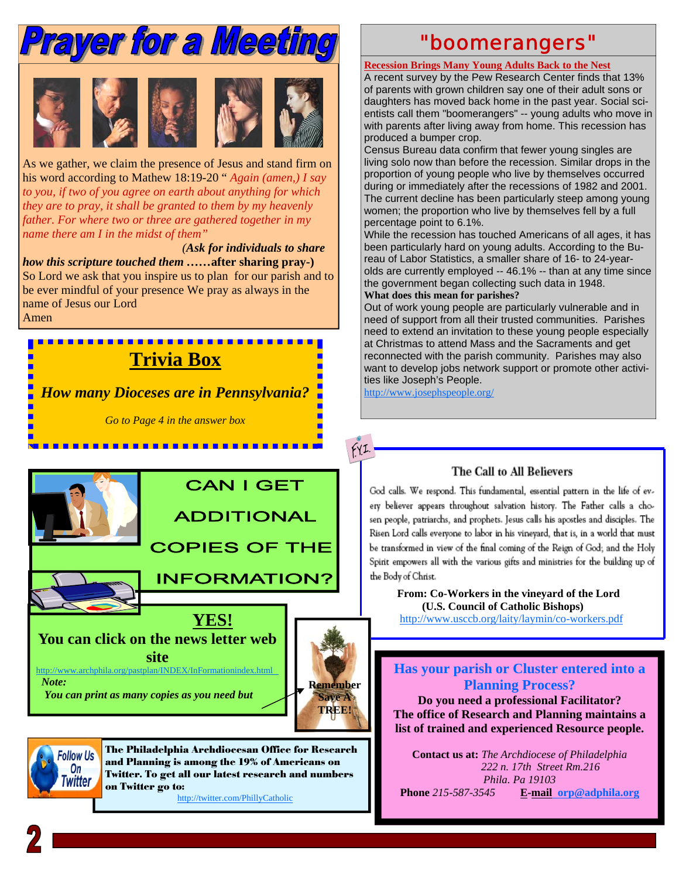

As we gather, we claim the presence of Jesus and stand firm on his word according to Mathew 18:19-20 " *Again (amen,) I say to you, if two of you agree on earth about anything for which they are to pray, it shall be granted to them by my heavenly father. For where two or three are gathered together in my name there am I in the midst of them"* 

 *(Ask for individuals to share how this scripture touched them ……***after sharing pray-)** So Lord we ask that you inspire us to plan for our parish and to be ever mindful of your presence We pray as always in the name of Jesus our Lord Amen

# **Trivia Box**

*How many Dioceses are in Pennsylvania?* 

*Go to Page 4 in the answer box* 

<u>. . . . . . . . . . . . . . . . .</u>



 *You can print as many copies as you need but* 



 $fYI.$ 



The Philadelphia Archdiocesan Office for Research and Planning is among the 19% of Americans on Twitter. To get all our latest research and numbers on Twitter go to:

http://twitter.com/PhillyCatholic

# "boomerangers"

#### **Recession Brings Many Young Adults Back to the Nest**

A recent survey by the Pew Research Center finds that 13% of parents with grown children say one of their adult sons or daughters has moved back home in the past year. Social scientists call them "boomerangers" -- young adults who move in with parents after living away from home. This recession has produced a bumper crop.

Census Bureau data confirm that fewer young singles are living solo now than before the recession. Similar drops in the proportion of young people who live by themselves occurred during or immediately after the recessions of 1982 and 2001. The current decline has been particularly steep among young women; the proportion who live by themselves fell by a full percentage point to 6.1%.

While the recession has touched Americans of all ages, it has been particularly hard on young adults. According to the Bureau of Labor Statistics, a smaller share of 16- to 24-yearolds are currently employed -- 46.1% -- than at any time since the government began collecting such data in 1948. **What does this mean for parishes?** 

Out of work young people are particularly vulnerable and in need of support from all their trusted communities. Parishes need to extend an invitation to these young people especially at Christmas to attend Mass and the Sacraments and get reconnected with the parish community. Parishes may also want to develop jobs network support or promote other activities like Joseph's People.

http://www.josephspeople.org/

### The Call to All Believers

God calls. We respond. This fundamental, essential pattern in the life of every believer appears throughout salvation history. The Father calls a chosen people, patriarchs, and prophets. Jesus calls his apostles and disciples. The Risen Lord calls everyone to labor in his vineyard, that is, in a world that must be transformed in view of the final coming of the Reign of God; and the Holy Spirit empowers all with the various gifts and ministries for the building up of the Body of Christ.

#### **From: Co-Workers in the vineyard of the Lord (U.S. Council of Catholic Bishops)**

http://www.usccb.org/laity/laymin/co-workers.pdf

### **Has your parish or Cluster entered into a Planning Process?**

**Do you need a professional Facilitator? The office of Research and Planning maintains a list of trained and experienced Resource people.** 

**Contact us at:** *The Archdiocese of Philadelphia 222 n. 17th Street Rm.216 Phila. Pa 19103*  **Phone** *215-587-3545* **E-mail orp@adphila.org**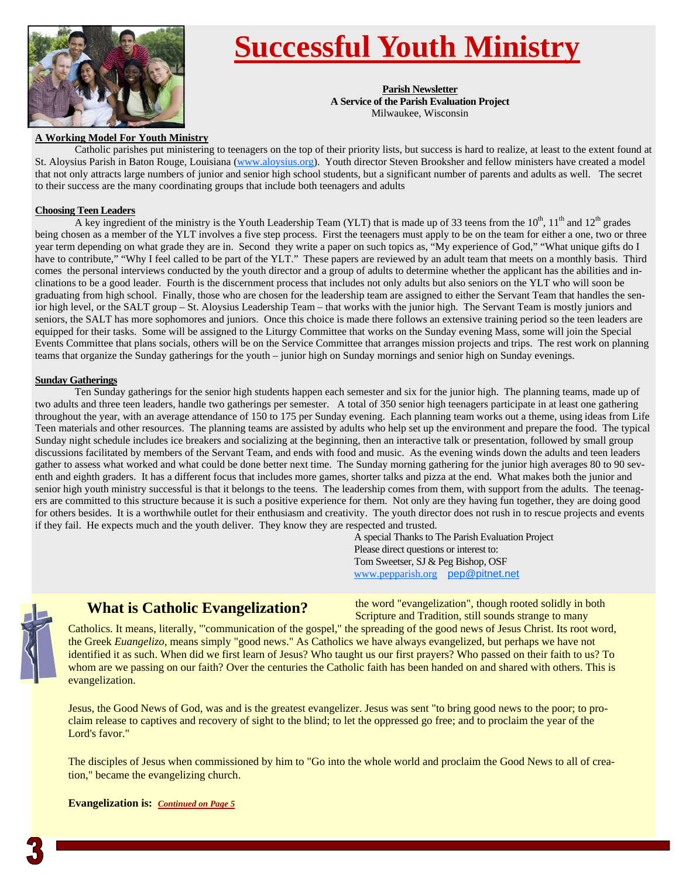

# **Successful Youth Ministry**

**Parish Newsletter A Service of the Parish Evaluation Project** Milwaukee, Wisconsin

#### **A Working Model For Youth Ministry**

 Catholic parishes put ministering to teenagers on the top of their priority lists, but success is hard to realize, at least to the extent found at St. Aloysius Parish in Baton Rouge, Louisiana (www.aloysius.org). Youth director Steven Brooksher and fellow ministers have created a model that not only attracts large numbers of junior and senior high school students, but a significant number of parents and adults as well. The secret to their success are the many coordinating groups that include both teenagers and adults

#### **Choosing Teen Leaders**

A key ingredient of the ministry is the Youth Leadership Team (YLT) that is made up of 33 teens from the  $10^{th}$ ,  $11^{th}$  and  $12^{th}$  grades being chosen as a member of the YLT involves a five step process. First the teenagers must apply to be on the team for either a one, two or three year term depending on what grade they are in. Second they write a paper on such topics as, "My experience of God," "What unique gifts do I have to contribute," "Why I feel called to be part of the YLT." These papers are reviewed by an adult team that meets on a monthly basis. Third comes the personal interviews conducted by the youth director and a group of adults to determine whether the applicant has the abilities and inclinations to be a good leader. Fourth is the discernment process that includes not only adults but also seniors on the YLT who will soon be graduating from high school. Finally, those who are chosen for the leadership team are assigned to either the Servant Team that handles the senior high level, or the SALT group – St. Aloysius Leadership Team – that works with the junior high. The Servant Team is mostly juniors and seniors, the SALT has more sophomores and juniors. Once this choice is made there follows an extensive training period so the teen leaders are equipped for their tasks. Some will be assigned to the Liturgy Committee that works on the Sunday evening Mass, some will join the Special Events Committee that plans socials, others will be on the Service Committee that arranges mission projects and trips. The rest work on planning teams that organize the Sunday gatherings for the youth – junior high on Sunday mornings and senior high on Sunday evenings.

#### **Sunday Gatherings**

 Ten Sunday gatherings for the senior high students happen each semester and six for the junior high. The planning teams, made up of two adults and three teen leaders, handle two gatherings per semester. A total of 350 senior high teenagers participate in at least one gathering throughout the year, with an average attendance of 150 to 175 per Sunday evening. Each planning team works out a theme, using ideas from Life Teen materials and other resources. The planning teams are assisted by adults who help set up the environment and prepare the food. The typical Sunday night schedule includes ice breakers and socializing at the beginning, then an interactive talk or presentation, followed by small group discussions facilitated by members of the Servant Team, and ends with food and music. As the evening winds down the adults and teen leaders gather to assess what worked and what could be done better next time. The Sunday morning gathering for the junior high averages 80 to 90 seventh and eighth graders. It has a different focus that includes more games, shorter talks and pizza at the end. What makes both the junior and senior high youth ministry successful is that it belongs to the teens. The leadership comes from them, with support from the adults. The teenagers are committed to this structure because it is such a positive experience for them. Not only are they having fun together, they are doing good for others besides. It is a worthwhile outlet for their enthusiasm and creativity. The youth director does not rush in to rescue projects and events if they fail. He expects much and the youth deliver. They know they are respected and trusted.

A special Thanks to The Parish Evaluation Project Please direct questions or interest to: Tom Sweetser, SJ & Peg Bishop, OSF www.pepparish.org pep@pitnet.net



## **What is Catholic Evangelization?**

the word "evangelization", though rooted solidly in both Scripture and Tradition, still sounds strange to many

Catholics. It means, literally, "'communication of the gospel," the spreading of the good news of Jesus Christ. Its root word, the Greek *Euangelizo,* means simply "good news." As Catholics we have always evangelized, but perhaps we have not identified it as such. When did we first learn of Jesus? Who taught us our first prayers? Who passed on their faith to us? To whom are we passing on our faith? Over the centuries the Catholic faith has been handed on and shared with others. This is evangelization.

Jesus, the Good News of God, was and is the greatest evangelizer. Jesus was sent "to bring good news to the poor; to proclaim release to captives and recovery of sight to the blind; to let the oppressed go free; and to proclaim the year of the Lord's favor."

The disciples of Jesus when commissioned by him to "Go into the whole world and proclaim the Good News to all of creation," became the evangelizing church.

#### **Evangelization is:** *Continued on Page 5*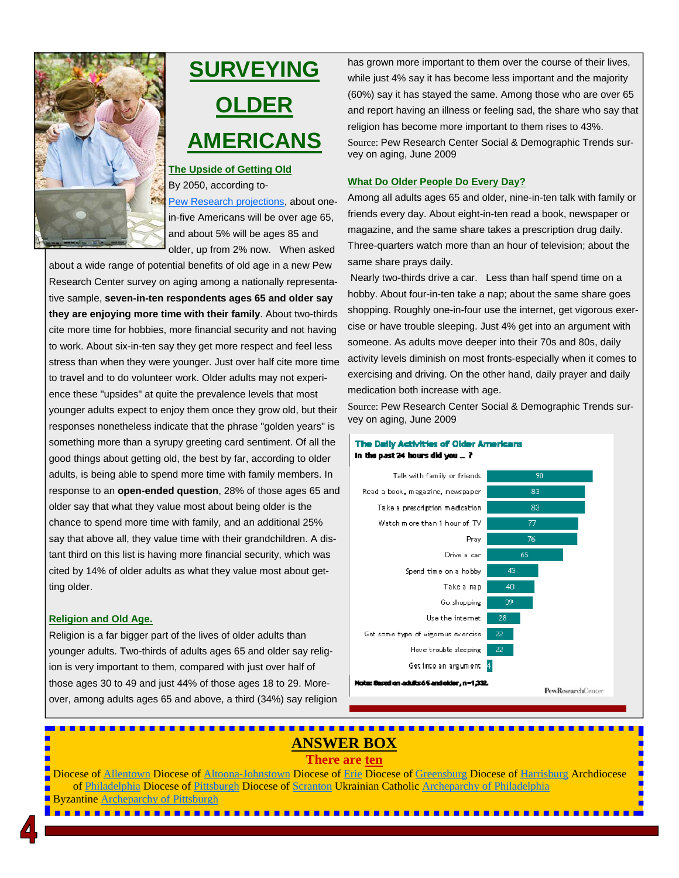

# **SURVEYING OLDER AMERICANS**

#### **The Upside of Getting Old** By 2050, according to-

Pew Research projections, about onein-five Americans will be over age 65, and about 5% will be ages 85 and older, up from 2% now. When asked

about a wide range of potential benefits of old age in a new Pew Research Center survey on aging among a nationally representative sample, **seven-in-ten respondents ages 65 and older say they are enjoying more time with their family**. About two-thirds cite more time for hobbies, more financial security and not having to work. About six-in-ten say they get more respect and feel less stress than when they were younger. Just over half cite more time to travel and to do volunteer work. Older adults may not experience these "upsides" at quite the prevalence levels that most younger adults expect to enjoy them once they grow old, but their responses nonetheless indicate that the phrase "golden years" is something more than a syrupy greeting card sentiment. Of all the good things about getting old, the best by far, according to older adults, is being able to spend more time with family members. In response to an **open-ended question**, 28% of those ages 65 and older say that what they value most about being older is the chance to spend more time with family, and an additional 25% say that above all, they value time with their grandchildren. A distant third on this list is having more financial security, which was cited by 14% of older adults as what they value most about getting older.

#### **Religion and Old Age.**

Religion is a far bigger part of the lives of older adults than younger adults. Two-thirds of adults ages 65 and older say religion is very important to them, compared with just over half of those ages 30 to 49 and just 44% of those ages 18 to 29. Moreover, among adults ages 65 and above, a third (34%) say religion has grown more important to them over the course of their lives, while just 4% say it has become less important and the majority (60%) say it has stayed the same. Among those who are over 65 and report having an illness or feeling sad, the share who say that religion has become more important to them rises to 43%. Source: Pew Research Center Social & Demographic Trends survey on aging, June 2009

#### **What Do Older People Do Every Day?**

Among all adults ages 65 and older, nine-in-ten talk with family or friends every day. About eight-in-ten read a book, newspaper or magazine, and the same share takes a prescription drug daily. Three-quarters watch more than an hour of television; about the same share prays daily.

 Nearly two-thirds drive a car. Less than half spend time on a hobby. About four-in-ten take a nap; about the same share goes shopping. Roughly one-in-four use the internet, get vigorous exercise or have trouble sleeping. Just 4% get into an argument with someone. As adults move deeper into their 70s and 80s, daily activity levels diminish on most fronts-especially when it comes to exercising and driving. On the other hand, daily prayer and daily medication both increase with age.

Source: Pew Research Center Social & Demographic Trends survey on aging, June 2009

#### The Daily Activities of Older Americans In the past 24 hours did you  $= ?$



# **ANSWER BOX**

## **There are ten**

Diocese of [Allentown](http://www.allentowndiocese.org/) Diocese of [Altoona-Johnstown](http://www.ajdiocese.org/) Diocese of *Erie* Diocese of [Greensburg D](http://www.dioceseofgreensburg.org/Pages/default.aspx)iocese of [Harrisburg](http://www.hbgdiocese.org/) Archdiocese of [Philadelphia D](http://archphila.org/home.php)iocese of [Pittsburgh](http://www.diopitt.org/) Diocese of [Scranton U](http://www.dioceseofscranton.org/)krainian Catholic [Archeparchy of Philadelphia](http://www.ukrarcheparchy.us/)  Byzantine [Archeparchy of Pittsburgh](http://www.archeparchy.org/)